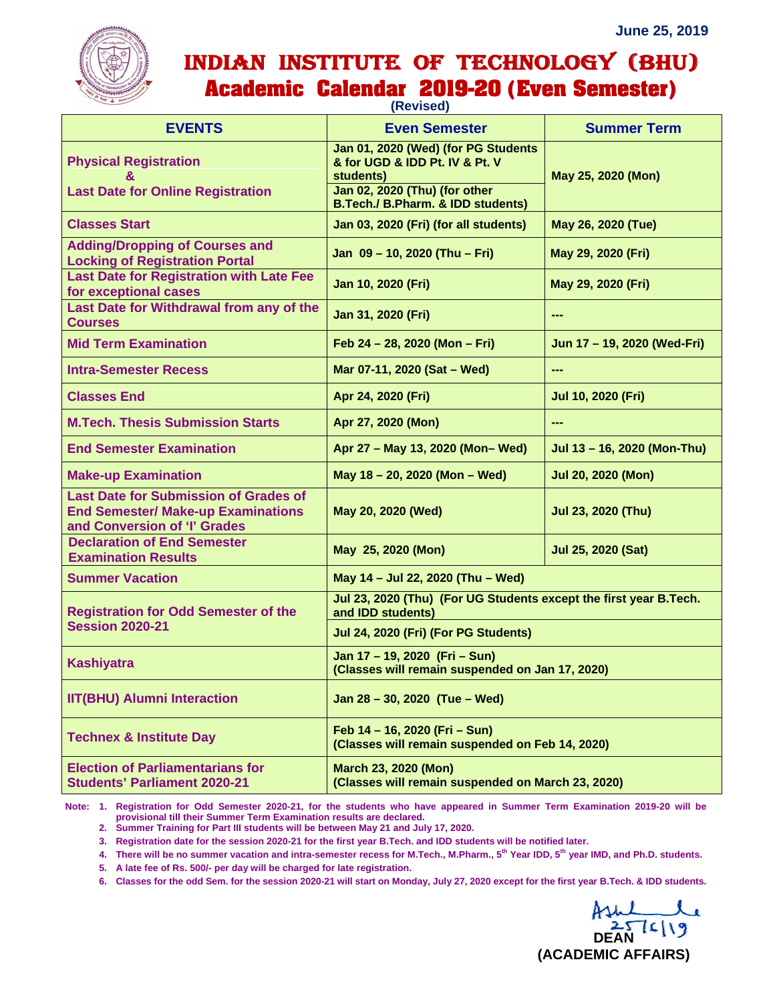

## INDIAN INSTITUTE OF TECHNOLOGY (BHU) **Academic Calendar 2019-20 (Even Semester)**

| $\sim$ $\sim$ $\sim$<br>(Revised)                                                                                         |                                                                                        |                             |
|---------------------------------------------------------------------------------------------------------------------------|----------------------------------------------------------------------------------------|-----------------------------|
| <b>EVENTS</b>                                                                                                             | <b>Even Semester</b>                                                                   | <b>Summer Term</b>          |
| <b>Physical Registration</b><br>8.                                                                                        | Jan 01, 2020 (Wed) (for PG Students<br>& for UGD & IDD Pt. IV & Pt. V<br>students)     | May 25, 2020 (Mon)          |
| <b>Last Date for Online Registration</b>                                                                                  | Jan 02, 2020 (Thu) (for other<br>B.Tech./ B.Pharm. & IDD students)                     |                             |
| <b>Classes Start</b>                                                                                                      | Jan 03, 2020 (Fri) (for all students)                                                  | May 26, 2020 (Tue)          |
| <b>Adding/Dropping of Courses and</b><br><b>Locking of Registration Portal</b>                                            | Jan 09 - 10, 2020 (Thu - Fri)                                                          | May 29, 2020 (Fri)          |
| <b>Last Date for Registration with Late Fee</b><br>for exceptional cases                                                  | Jan 10, 2020 (Fri)                                                                     | May 29, 2020 (Fri)          |
| Last Date for Withdrawal from any of the<br><b>Courses</b>                                                                | Jan 31, 2020 (Fri)                                                                     | ---                         |
| <b>Mid Term Examination</b>                                                                                               | Feb 24 - 28, 2020 (Mon - Fri)                                                          | Jun 17 - 19, 2020 (Wed-Fri) |
| <b>Intra-Semester Recess</b>                                                                                              | Mar 07-11, 2020 (Sat - Wed)                                                            | ---                         |
| <b>Classes End</b>                                                                                                        | Apr 24, 2020 (Fri)                                                                     | Jul 10, 2020 (Fri)          |
| <b>M.Tech. Thesis Submission Starts</b>                                                                                   | Apr 27, 2020 (Mon)                                                                     | ---                         |
| <b>End Semester Examination</b>                                                                                           | Apr 27 - May 13, 2020 (Mon-Wed)                                                        | Jul 13 - 16, 2020 (Mon-Thu) |
| <b>Make-up Examination</b>                                                                                                | May 18 - 20, 2020 (Mon - Wed)                                                          | <b>Jul 20, 2020 (Mon)</b>   |
| <b>Last Date for Submission of Grades of</b><br><b>End Semester/ Make-up Examinations</b><br>and Conversion of 'I' Grades | May 20, 2020 (Wed)                                                                     | Jul 23, 2020 (Thu)          |
| <b>Declaration of End Semester</b><br><b>Examination Results</b>                                                          | May 25, 2020 (Mon)                                                                     | Jul 25, 2020 (Sat)          |
| <b>Summer Vacation</b>                                                                                                    | May 14 - Jul 22, 2020 (Thu - Wed)                                                      |                             |
| <b>Registration for Odd Semester of the</b><br><b>Session 2020-21</b>                                                     | Jul 23, 2020 (Thu) (For UG Students except the first year B.Tech.<br>and IDD students) |                             |
|                                                                                                                           | Jul 24, 2020 (Fri) (For PG Students)                                                   |                             |
| <b>Kashiyatra</b>                                                                                                         | Jan 17 - 19, 2020 (Fri - Sun)<br>(Classes will remain suspended on Jan 17, 2020)       |                             |
| <b>IIT(BHU) Alumni Interaction</b>                                                                                        | Jan 28 - 30, 2020 (Tue - Wed)                                                          |                             |
| <b>Technex &amp; Institute Day</b>                                                                                        | Feb 14 - 16, 2020 (Fri - Sun)<br>(Classes will remain suspended on Feb 14, 2020)       |                             |
| <b>Election of Parliamentarians for</b><br><b>Students' Parliament 2020-21</b>                                            | <b>March 23, 2020 (Mon)</b><br>(Classes will remain suspended on March 23, 2020)       |                             |

**Note: 1. Registration for Odd Semester 2020-21, for the students who have appeared in Summer Term Examination 2019-20 will be provisional till their Summer Term Examination results are declared.** 

**3. Registration date for the session 2020-21 for the first year B.Tech. and IDD students will be notified later.** 

**4. There will be no summer vacation and intra-semester recess for M.Tech., M.Pharm., 5th Year IDD, 5th year IMD, and Ph.D. students.** 

**5. A late fee of Rs. 500/- per day will be charged for late registration.** 

**6. Classes for the odd Sem. for the session 2020-21 will start on Monday, July 27, 2020 except for the first year B.Tech. & IDD students.** 

Ash 2576/19 **(ACADEMIC AFFAIRS)** 

**<sup>2.</sup> Summer Training for Part III students will be between May 21 and July 17, 2020.**